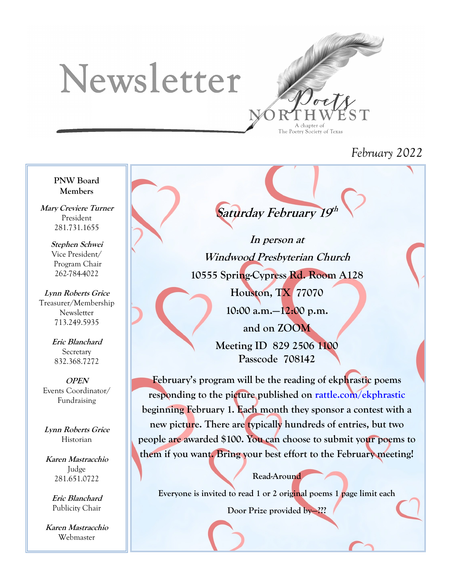# Newsletter



## *February 2022*

**PNW Board Members**

**Mary Creviere Turner** President 281.731.1655

> **Stephen Schwei** Vice President/ Program Chair 262-784-4022

**Lynn Roberts Grice** Treasurer/Membership Newsletter 713.249.5935

> **Eric Blanchard Secretary** 832.368.7272

**OPEN** Events Coordinator/ Fundraising

**Lynn Roberts Grice** Historian

**Karen Mastracchio** Judge 281.651.0722

> **Eric Blanchard** Publicity Chair

**Karen Mastracchio** Webmaster

Saturday February 19<sup>th</sup>

**In person at Windwood Presbyterian Church 10555 Spring-Cypress Rd. Room A128**

> **Houston, TX 77070 10:00 a.m.—12:00 p.m. and on ZOOM Meeting ID 829 2506 1100 Passcode 708142**

**February's program will be the reading of ekphrastic poems responding to the picture published on rattle.com/ekphrastic beginning February 1. Each month they sponsor a contest with a new picture. There are typically hundreds of entries, but two people are awarded \$100. You can choose to submit your poems to them if you want. Bring your best effort to the February meeting!**

**Read-Around**

**Everyone is invited to read 1 or 2 original poems 1 page limit each**

**Door Prize provided by—???**